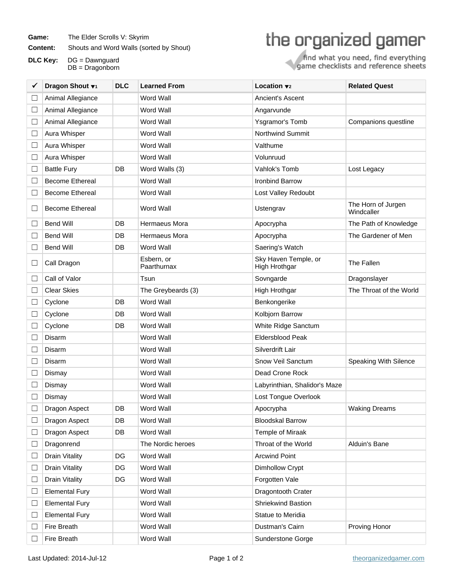Game: The Elder Scrolls V: Skyrim

**Content:** Shouts and Word Walls (sorted by Shout)

**DLC Key:** DG = Dawnguard DB = Dragonborn

## the organized gamer

find what you need, find everything<br>game checklists and reference sheets

| ✔                        | Dragon Shout v <sub>1</sub> | <b>DLC</b> | <b>Learned From</b>       | Location $\mathbf{v}_2$               | <b>Related Quest</b>             |
|--------------------------|-----------------------------|------------|---------------------------|---------------------------------------|----------------------------------|
| $\Box$                   | Animal Allegiance           |            | <b>Word Wall</b>          | Ancient's Ascent                      |                                  |
| $\Box$                   | Animal Allegiance           |            | <b>Word Wall</b>          | Angarvunde                            |                                  |
| $\Box$                   | Animal Allegiance           |            | Word Wall                 | Ysgramor's Tomb                       | Companions questline             |
| $\Box$                   | Aura Whisper                |            | Word Wall                 | Northwind Summit                      |                                  |
| ∟                        | Aura Whisper                |            | <b>Word Wall</b>          | Valthume                              |                                  |
| $\Box$                   | Aura Whisper                |            | Word Wall                 | Volunruud                             |                                  |
| $\Box$                   | <b>Battle Fury</b>          | DB         | Word Walls (3)            | Vahlok's Tomb                         | Lost Legacy                      |
| $\Box$                   | <b>Become Ethereal</b>      |            | Word Wall                 | Ironbind Barrow                       |                                  |
| $\Box$                   | <b>Become Ethereal</b>      |            | Word Wall                 | Lost Valley Redoubt                   |                                  |
| ⊔                        | <b>Become Ethereal</b>      |            | <b>Word Wall</b>          | Ustengrav                             | The Horn of Jurgen<br>Windcaller |
| $\Box$                   | <b>Bend Will</b>            | DB         | Hermaeus Mora             | Apocrypha                             | The Path of Knowledge            |
|                          | <b>Bend Will</b>            | DB         | Hermaeus Mora             | Apocrypha                             | The Gardener of Men              |
|                          | <b>Bend Will</b>            | DB         | <b>Word Wall</b>          | Saering's Watch                       |                                  |
| $\Box$                   | Call Dragon                 |            | Esbern, or<br>Paarthurnax | Sky Haven Temple, or<br>High Hrothgar | The Fallen                       |
| ∟                        | Call of Valor               |            | Tsun                      | Sovngarde                             | Dragonslayer                     |
|                          | <b>Clear Skies</b>          |            | The Greybeards (3)        | High Hrothgar                         | The Throat of the World          |
| $\Box$                   | Cyclone                     | DB         | <b>Word Wall</b>          | Benkongerike                          |                                  |
| $\Box$                   | Cyclone                     | DB         | <b>Word Wall</b>          | Kolbjorn Barrow                       |                                  |
|                          | Cyclone                     | DB         | Word Wall                 | White Ridge Sanctum                   |                                  |
| $\overline{\phantom{a}}$ | Disarm                      |            | Word Wall                 | <b>Eldersblood Peak</b>               |                                  |
|                          | Disarm                      |            | Word Wall                 | Silverdrift Lair                      |                                  |
| $\Box$                   | Disarm                      |            | Word Wall                 | Snow Veil Sanctum                     | Speaking With Silence            |
| $\overline{\phantom{a}}$ | Dismay                      |            | Word Wall                 | Dead Crone Rock                       |                                  |
|                          | Dismay                      |            | <b>Word Wall</b>          | Labyrinthian, Shalidor's Maze         |                                  |
|                          | Dismay                      |            | Word Wall                 | Lost Tongue Overlook                  |                                  |
|                          | Dragon Aspect               | DB         | Word Wall                 | Apocrypha                             | <b>Waking Dreams</b>             |
|                          | Dragon Aspect               | DB         | Word Wall                 | <b>Bloodskal Barrow</b>               |                                  |
| ∟                        | Dragon Aspect               | DB         | Word Wall                 | Temple of Miraak                      |                                  |
| $\Box$                   | Dragonrend                  |            | The Nordic heroes         | Throat of the World                   | Alduin's Bane                    |
| $\Box$                   | Drain Vitality              | DG         | Word Wall                 | <b>Arcwind Point</b>                  |                                  |
| $\Box$                   | <b>Drain Vitality</b>       | DG         | Word Wall                 | Dimhollow Crypt                       |                                  |
| $\Box$                   | <b>Drain Vitality</b>       | DG         | Word Wall                 | Forgotten Vale                        |                                  |
| $\Box$                   | <b>Elemental Fury</b>       |            | Word Wall                 | Dragontooth Crater                    |                                  |
| $\Box$                   | <b>Elemental Fury</b>       |            | Word Wall                 | Shriekwind Bastion                    |                                  |
| $\Box$                   | <b>Elemental Fury</b>       |            | Word Wall                 | Statue to Meridia                     |                                  |
| $\Box$                   | Fire Breath                 |            | Word Wall                 | Dustman's Cairn                       | Proving Honor                    |
|                          | <b>Fire Breath</b>          |            | Word Wall                 | Sunderstone Gorge                     |                                  |